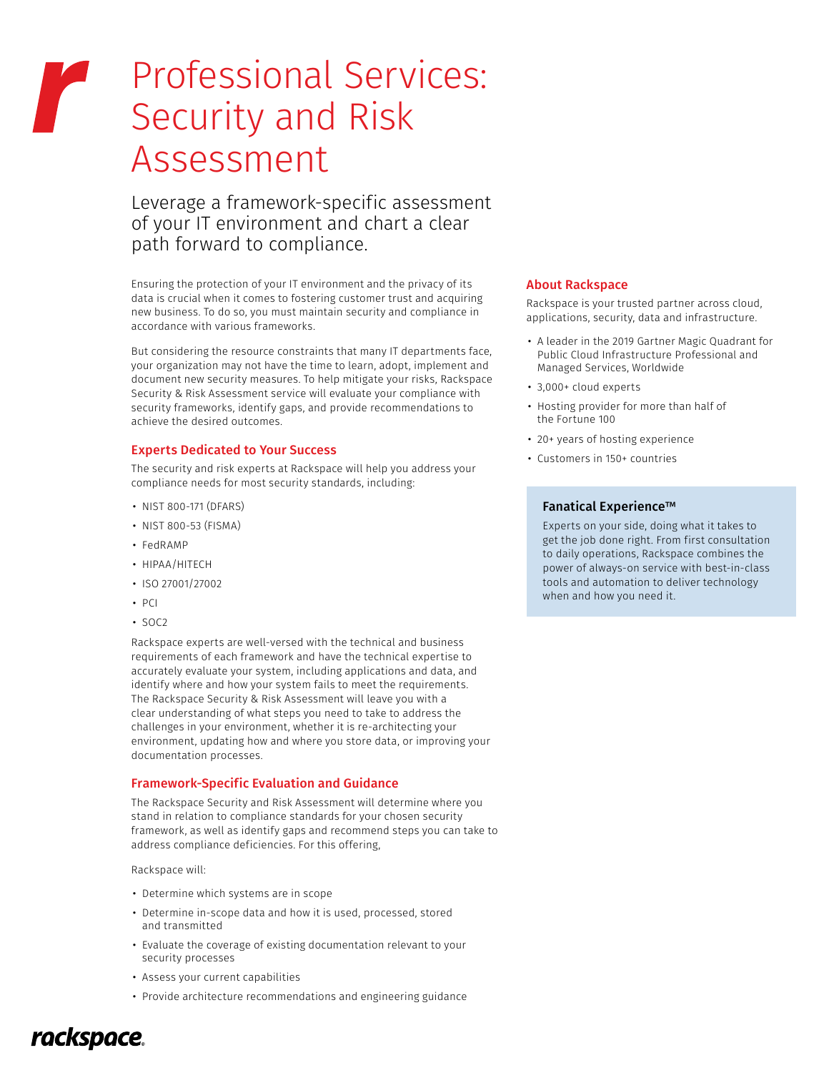# Professional Services: Security and Risk Assessment

Leverage a framework-specific assessment of your IT environment and chart a clear path forward to compliance.

Ensuring the protection of your IT environment and the privacy of its data is crucial when it comes to fostering customer trust and acquiring new business. To do so, you must maintain security and compliance in accordance with various frameworks.

But considering the resource constraints that many IT departments face, your organization may not have the time to learn, adopt, implement and document new security measures. To help mitigate your risks, Rackspace Security & Risk Assessment service will evaluate your compliance with security frameworks, identify gaps, and provide recommendations to achieve the desired outcomes.

#### Experts Dedicated to Your Success

The security and risk experts at Rackspace will help you address your compliance needs for most security standards, including:

- NIST 800-171 (DFARS)
- NIST 800-53 (FISMA)
- FedRAMP
- HIPAA/HITECH
- ISO 27001/27002
- $P<sub>1</sub>$
- SOC2

Rackspace experts are well-versed with the technical and business requirements of each framework and have the technical expertise to accurately evaluate your system, including applications and data, and identify where and how your system fails to meet the requirements. The Rackspace Security & Risk Assessment will leave you with a clear understanding of what steps you need to take to address the challenges in your environment, whether it is re-architecting your environment, updating how and where you store data, or improving your documentation processes.

### Framework-Specific Evaluation and Guidance

The Rackspace Security and Risk Assessment will determine where you stand in relation to compliance standards for your chosen security framework, as well as identify gaps and recommend steps you can take to address compliance deficiencies. For this offering,

Rackspace will:

- Determine which systems are in scope
- Determine in-scope data and how it is used, processed, stored and transmitted
- Evaluate the coverage of existing documentation relevant to your security processes
- Assess your current capabilities
- Provide architecture recommendations and engineering guidance

#### About Rackspace

Rackspace is your trusted partner across cloud, applications, security, data and infrastructure.

- A leader in the 2019 Gartner Magic Quadrant for Public Cloud Infrastructure Professional and Managed Services, Worldwide
- 3,000+ cloud experts
- Hosting provider for more than half of the Fortune 100
- 20+ years of hosting experience
- Customers in 150+ countries

#### Fanatical Experience™

Experts on your side, doing what it takes to get the job done right. From first consultation to daily operations, Rackspace combines the power of always-on service with best-in-class tools and automation to deliver technology when and how you need it.